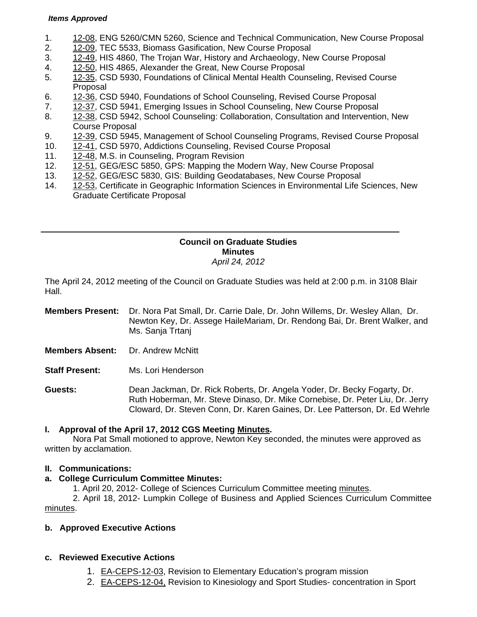#### *Items Approved*

- 1. [12-08, E](http://castle.eiu.edu/~eiucgs/currentagendaitems/agenda12-08.pdf)NG 5260/CMN 5260, Science and Technical Communication, New Course Proposal
- 2. [12-09,](http://castle.eiu.edu/~eiucgs/currentagendaitems/agenda12-09.pdf) TEC 5533, Biomass Gasification, New Course Proposal
- 3. [12-49,](http://castle.eiu.edu/~eiucgs/currentagendaitems/agenda12-49.pdf) HIS 4860, The Trojan War, History and Archaeology, New Course Proposal
- 4. [12-50,](http://castle.eiu.edu/~eiucgs/currentagendaitems/agenda12-50.pdf) HIS 4865, Alexander the Great, New Course Proposal
- 5. [12-35,](http://castle.eiu.edu/~eiucgs/currentagendaitems/agenda12-35.pdf) CSD 5930, Foundations of Clinical Mental Health Counseling, Revised Course Proposal
- 6. [12-36,](http://castle.eiu.edu/~eiucgs/currentagendaitems/agenda12-36.pdf) CSD 5940, Foundations of School Counseling, Revised Course Proposal
- 7. [12-37,](http://castle.eiu.edu/~eiucgs/currentagendaitems/agenda12-37.pdf) CSD 5941, Emerging Issues in School Counseling, New Course Proposal
- 8. [12-38, C](http://castle.eiu.edu/~eiucgs/currentagendaitems/agenda12-38.pdf)SD 5942, School Counseling: Collaboration, Consultation and Intervention, New Course Proposal
- 9. [12-39, C](http://castle.eiu.edu/~eiucgs/currentagendaitems/agenda12-39.pdf)SD 5945, Management of School Counseling Programs, Revised Course Proposal
- 10. [12-41, C](http://castle.eiu.edu/~eiucgs/currentagendaitems/agenda12-41.pdf)SD 5970, Addictions Counseling, Revised Course Proposal
- 11. [12-48, M](http://castle.eiu.edu/~eiucgs/currentagendaitems/agenda12-48.pdf).S. in Counseling, Program Revision
- 12. [12-51,](http://castle.eiu.edu/~eiucgs/currentagendaitems/agenda12-51.pdf) GEG/ESC 5850, GPS: Mapping the Modern Way, New Course Proposal
- 13. [12-52, G](http://castle.eiu.edu/~eiucgs/currentagendaitems/agenda12-52.pdf)EG/ESC 5830, GIS: Building Geodatabases, New Course Proposal
- 14. [12-53, C](http://castle.eiu.edu/~eiucgs/currentagendaitems/agenda12-53.pdf)ertificate in Geographic Information Sciences in Environmental Life Sciences, New Graduate Certificate Proposal

### **Council on Graduate Studies Minutes**  *April 24, 2012*

The April 24, 2012 meeting of the Council on Graduate Studies was held at 2:00 p.m. in 3108 Blair Hall.

- **Members Present:** Dr. Nora Pat Small, Dr. Carrie Dale, Dr. John Willems, Dr. Wesley Allan, Dr. Newton Key, Dr. Assege HaileMariam, Dr. Rendong Bai, Dr. Brent Walker, and Ms. Sanja Trtanj
- **Members Absent:** Dr. Andrew McNitt
- **Staff Present:** Ms. Lori Henderson

**Guests:** Dean Jackman, Dr. Rick Roberts, Dr. Angela Yoder, Dr. Becky Fogarty, Dr. Ruth Hoberman, Mr. Steve Dinaso, Dr. Mike Cornebise, Dr. Peter Liu, Dr. Jerry Cloward, Dr. Steven Conn, Dr. Karen Gaines, Dr. Lee Patterson, Dr. Ed Wehrle

## **I. Approval of the April 17, 2012 CGS Meeti[ng Minutes.](http://castle.eiu.edu/eiucgs/currentminutes/Minutes4-17-12.pdf)**

 Nora Pat Small motioned to approve, Newton Key seconded, the minutes were approved as written by acclamation.

### **II. Communications:**

### **a. College Curriculum Committee Minutes:**

1. April 20, 2012- College of Sciences Curriculum Committee meeting minutes.

 2. April 18, 2012- Lumpkin College of Business and Applied Sciences Curriculum Committee [minutes.](http://castle.eiu.edu/~eiucgs/currentagendaitems/LCBASMin4-18-12.pdf) 

## **b. Approved Executive Actions**

## **c. Reviewed Executive Actions**

- 1. [EA-CEPS-12-03, R](http://castle.eiu.edu/~eiucgs/exec-actions/EA-CEPS-12-03.pdf)evision to Elementary Education's program mission
- 2. [EA-CEPS-12-04, Re](http://castle.eiu.edu/~eiucgs/exec-actions/EA-CEPS-12-04.pdf)vision to Kinesiology and Sport Studies- concentration in Sport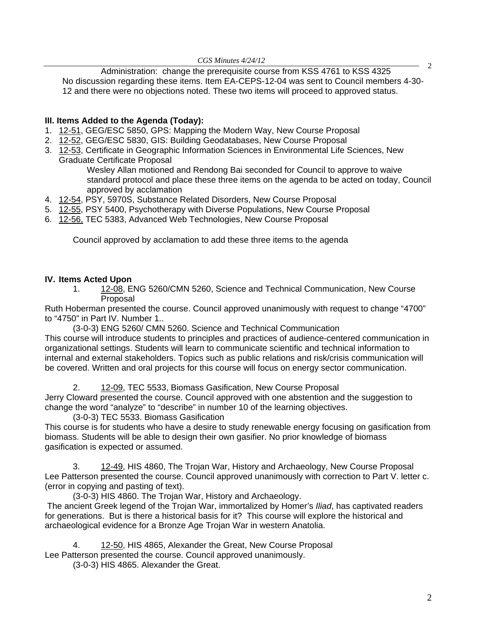*CGS Minutes 4/24/12* 

2 Administration: change the prerequisite course from KSS 4761 to KSS 4325 No discussion regarding these items. Item EA-CEPS-12-04 was sent to Council members 4-30- 12 and there were no objections noted. These two items will proceed to approved status.

## **III. Items Added to the Agenda (Today):**

- 1. [12-51,](http://castle.eiu.edu/~eiucgs/currentagendaitems/agenda12-51.pdf) GEG/ESC 5850, GPS: Mapping the Modern Way, New Course Proposal
- 2. [12-52, G](http://castle.eiu.edu/~eiucgs/currentagendaitems/agenda12-52.pdf)EG/ESC 5830, GIS: Building Geodatabases, New Course Proposal
- 3. [12-53, C](http://castle.eiu.edu/~eiucgs/currentagendaitems/agenda12-53.pdf)ertificate in Geographic Information Sciences in Environmental Life Sciences, New Graduate Certificate Proposal

Wesley Allan motioned and Rendong Bai seconded for Council to approve to waive standard protocol and place these three items on the agenda to be acted on today, Council approved by acclamation

- 4. [12-54,](http://castle.eiu.edu/~eiucgs/currentagendaitems/agenda12-54.pdf) PSY, 5970S, Substance Related Disorders, New Course Proposal
- 5. [12-55, PS](http://castle.eiu.edu/~eiucgs/currentagendaitems/agenda12-55.pdf)Y 5400, Psychotherapy with Diverse Populations, New Course Proposal
- 6. [12-56, TE](http://castle.eiu.edu/~eiucgs/currentagendaitems/agenda12-56.pdf)C 5383, Advanced Web Technologies, New Course Proposal

Council approved by acclamation to add these three items to the agenda

## **IV. Items Acted Upon**

1. [12-08, E](http://castle.eiu.edu/~eiucgs/currentagendaitems/agenda12-08.pdf)NG 5260/CMN 5260, Science and Technical Communication, New Course Proposal

Ruth Hoberman presented the course. Council approved unanimously with request to change "4700" to "4750" in Part IV. Number 1..

(3-0-3) ENG 5260/ CMN 5260. Science and Technical Communication

This course will introduce students to principles and practices of audience-centered communication in organizational settings. Students will learn to communicate scientific and technical information to internal and external stakeholders. Topics such as public relations and risk/crisis communication will be covered. Written and oral projects for this course will focus on energy sector communication.

2. [12-09, TEC](http://castle.eiu.edu/~eiucgs/currentagendaitems/agenda12-09.pdf) 5533, Biomass Gasification, New Course Proposal

Jerry Cloward presented the course. Council approved with one abstention and the suggestion to change the word "analyze" to "describe" in number 10 of the learning objectives.

(3-0-3) TEC 5533. Biomass Gasification

This course is for students who have a desire to study renewable energy focusing on gasification from biomass. Students will be able to design their own gasifier. No prior knowledge of biomass gasification is expected or assumed.

3. [12-49, H](http://castle.eiu.edu/~eiucgs/currentagendaitems/agenda12-49.pdf)IS 4860, The Trojan War, History and Archaeology, New Course Proposal Lee Patterson presented the course. Council approved unanimously with correction to Part V. letter c. (error in copying and pasting of text).

(3-0-3) HIS 4860. The Trojan War, History and Archaeology.

 The ancient Greek legend of the Trojan War, immortalized by Homer's *Iliad*, has captivated readers for generations. But is there a historical basis for it? This course will explore the historical and archaeological evidence for a Bronze Age Trojan War in western Anatolia.

4. [12-50, H](http://castle.eiu.edu/~eiucgs/currentagendaitems/agenda12-50.pdf)IS 4865, Alexander the Great, New Course Proposal

Lee Patterson presented the course. Council approved unanimously.

(3-0-3) HIS 4865. Alexander the Great.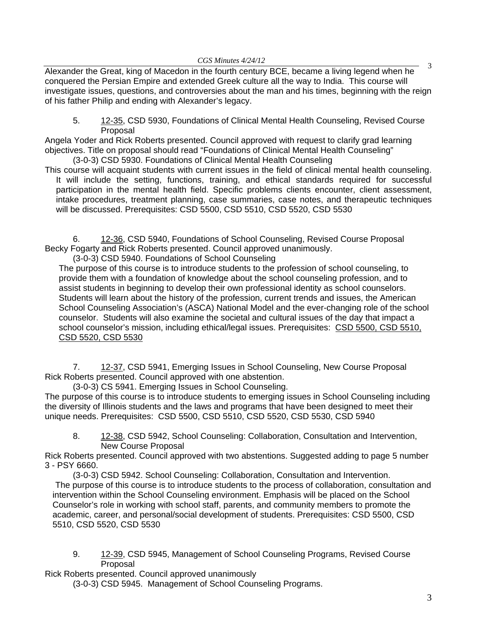$\frac{13}{200}$  Minimics  $\frac{12,12}{200}$  BCE, became a living legend when he  $\frac{3}{200}$ conquered the Persian Empire and extended Greek culture all the way to India. This course will investigate issues, questions, and controversies about the man and his times, beginning with the reign of his father Philip and ending with Alexander's legacy.

5. [12-35, C](http://castle.eiu.edu/~eiucgs/currentagendaitems/agenda12-35.pdf)SD 5930, Foundations of Clinical Mental Health Counseling, Revised Course Proposal

Angela Yoder and Rick Roberts presented. Council approved with request to clarify grad learning objectives. Title on proposal should read "Foundations of Clinical Mental Health Counseling"

(3-0-3) CSD 5930. Foundations of Clinical Mental Health Counseling

 This course will acquaint students with current issues in the field of clinical mental health counseling. It will include the setting, functions, training, and ethical standards required for successful participation in the mental health field. Specific problems clients encounter, client assessment, intake procedures, treatment planning, case summaries, case notes, and therapeutic techniques will be discussed. Prerequisites: CSD 5500, CSD 5510, CSD 5520, CSD 5530

6. [12-36, C](http://castle.eiu.edu/~eiucgs/currentagendaitems/agenda12-36.pdf)SD 5940, Foundations of School Counseling, Revised Course Proposal Becky Fogarty and Rick Roberts presented. Council approved unanimously.

(3-0-3) CSD 5940. Foundations of School Counseling

The purpose of this course is to introduce students to the profession of school counseling, to provide them with a foundation of knowledge about the school counseling profession, and to assist students in beginning to develop their own professional identity as school counselors. Students will learn about the history of the profession, current trends and issues, the American School Counseling Association's (ASCA) National Model and the ever-changing role of the school counselor. Students will also examine the societal and cultural issues of the day that impact a school counselor's mission, including ethical/legal issues. Prerequisites: CSD 5500, CSD 5510, CSD 5520, CSD 5530

7. [12-37, C](http://castle.eiu.edu/~eiucgs/currentagendaitems/agenda12-37.pdf)SD 5941, Emerging Issues in School Counseling, New Course Proposal Rick Roberts presented. Council approved with one abstention.

(3-0-3) CS 5941. Emerging Issues in School Counseling.

The purpose of this course is to introduce students to emerging issues in School Counseling including the diversity of Illinois students and the laws and programs that have been designed to meet their unique needs. Prerequisites: CSD 5500, CSD 5510, CSD 5520, CSD 5530, CSD 5940

8. [12-38, C](http://castle.eiu.edu/~eiucgs/currentagendaitems/agenda12-38.pdf)SD 5942, School Counseling: Collaboration, Consultation and Intervention, New Course Proposal

Rick Roberts presented. Council approved with two abstentions. Suggested adding to page 5 number 3 - PSY 6660.

 (3-0-3) CSD 5942. School Counseling: Collaboration, Consultation and Intervention. The purpose of this course is to introduce students to the process of collaboration, consultation and intervention within the School Counseling environment. Emphasis will be placed on the School Counselor's role in working with school staff, parents, and community members to promote the academic, career, and personal/social development of students. Prerequisites: CSD 5500, CSD 5510, CSD 5520, CSD 5530

9. [12-39,](http://castle.eiu.edu/~eiucgs/currentagendaitems/agenda12-39.pdf) CSD 5945, Management of School Counseling Programs, Revised Course Proposal

Rick Roberts presented. Council approved unanimously (3-0-3) CSD 5945. Management of School Counseling Programs.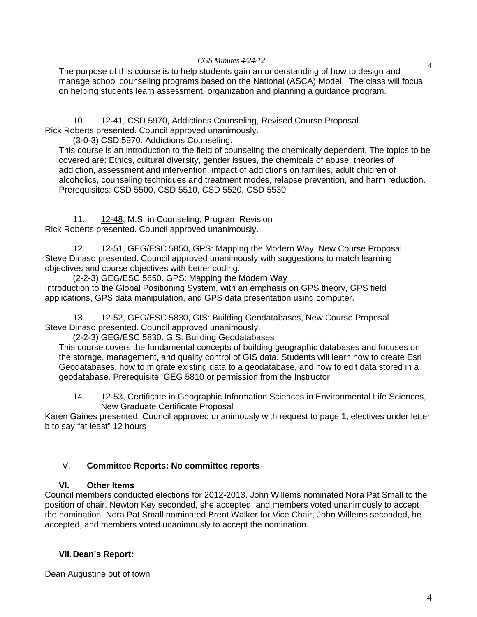#### *CGS Minutes 4/24/12*

The purpose of this course is to help students gain an understanding of how to design and manage school counseling programs based on the National (ASCA) Model. The class will focus on helping students learn assessment, organization and planning a guidance program.

10. [12-41, C](http://castle.eiu.edu/~eiucgs/currentagendaitems/agenda12-41.pdf)SD 5970, Addictions Counseling, Revised Course Proposal Rick Roberts presented. Council approved unanimously.

(3-0-3) CSD 5970. Addictions Counseling.

This course is an introduction to the field of counseling the chemically dependent. The topics to be covered are: Ethics, cultural diversity, gender issues, the chemicals of abuse, theories of addiction, assessment and intervention, impact of addictions on families, adult children of alcoholics, counseling techniques and treatment modes, relapse prevention, and harm reduction. Prerequisites: CSD 5500, CSD 5510, CSD 5520, CSD 5530

11. [12-48, M](http://castle.eiu.edu/~eiucgs/currentagendaitems/agenda12-48.pdf).S. in Counseling, Program Revision Rick Roberts presented. Council approved unanimously.

12. [12-51, GE](http://castle.eiu.edu/~eiucgs/currentagendaitems/agenda12-51.pdf)G/ESC 5850, GPS: Mapping the Modern Way, New Course Proposal Steve Dinaso presented. Council approved unanimously with suggestions to match learning objectives and course objectives with better coding.

 (2-2-3) GEG/ESC 5850. GPS: Mapping the Modern Way Introduction to the Global Positioning System, with an emphasis on GPS theory, GPS field applications, GPS data manipulation, and GPS data presentation using computer.

13. [12-52, G](http://castle.eiu.edu/~eiucgs/currentagendaitems/agenda12-52.pdf)EG/ESC 5830, GIS: Building Geodatabases, New Course Proposal Steve Dinaso presented. Council approved unanimously.

(2-2-3) GEG/ESC 5830. GIS: Building Geodatabases

This course covers the fundamental concepts of building geographic databases and focuses on the storage, management, and quality control of GIS data. Students will learn how to create Esri Geodatabases, how to migrate existing data to a geodatabase, and how to edit data stored in a geodatabase. Prerequisite: GEG 5810 or permission from the Instructor

14. [12-53, C](http://castle.eiu.edu/~eiucgs/currentagendaitems/agenda12-53.pdf)ertificate in Geographic Information Sciences in Environmental Life Sciences, New Graduate Certificate Proposal

Karen Gaines presented. Council approved unanimously with request to page 1, electives under letter b to say "at least" 12 hours

# V. **Committee Reports: No committee reports**

## **VI. Other Items**

Council members conducted elections for 2012-2013. John Willems nominated Nora Pat Small to the position of chair, Newton Key seconded, she accepted, and members voted unanimously to accept the nomination. Nora Pat Small nominated Brent Walker for Vice Chair, John Willems seconded, he accepted, and members voted unanimously to accept the nomination.

# **VII. Dean's Report:**

Dean Augustine out of town

4